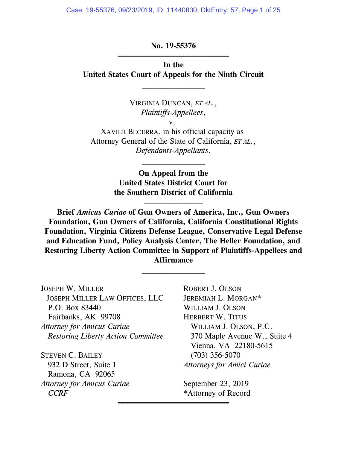Case: 19-55376, 09/23/2019, ID: 11440830, DktEntry: 57, Page 1 of 25

**No. 19-55376** 444444444444444444444444

**In the United States Court of Appeals for the Ninth Circuit**

 $\frac{1}{2}$ 

VIRGINIA DUNCAN, *ET AL.*, *Plaintiffs-Appellees*, v. XAVIER BECERRA, in his official capacity as Attorney General of the State of California, *ET AL.*, *Defendants-Appellants.*

> **On Appeal from the United States District Court for the Southern District of California**  $\overline{\phantom{a}}$  , where  $\overline{\phantom{a}}$

 $\overline{\phantom{a}}$  , where  $\overline{\phantom{a}}$ 

**Brief** *Amicus Curiae* **of Gun Owners of America, Inc., Gun Owners Foundation, Gun Owners of California, California Constitutional Rights Foundation, Virginia Citizens Defense League, Conservative Legal Defense and Education Fund, Policy Analysis Center, The Heller Foundation, and Restoring Liberty Action Committee in Support of Plaintiffs-Appellees and Affirmance**

 $\frac{1}{2}$ 

444444444444444444444444

JOSEPH W. MILLER ROBERT J. OLSON JOSEPH MILLER LAW OFFICES, LLC JEREMIAH L. MORGAN\* P.O. Box 83440 WILLIAM J. OLSON Fairbanks, AK 99708 HERBERT W. TITUS *Attorney for Amicus Curiae* WILLIAM J. OLSON, P.C. *Restoring Liberty Action Committee* 370 Maple Avenue W., Suite 4

STEVEN C. BAILEY (703) 356-5070 Ramona, CA 92065 *Attorney for Amicus Curiae* September 23, 2019 *CCRF* \*Attorney of Record

Vienna, VA 22180-5615 932 D Street, Suite 1 *Attorneys for Amici Curiae*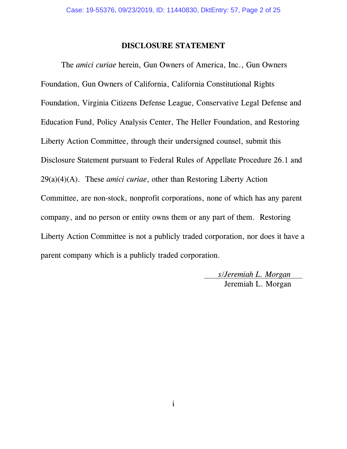#### **DISCLOSURE STATEMENT**

The *amici curiae* herein, Gun Owners of America, Inc., Gun Owners Foundation, Gun Owners of California, California Constitutional Rights Foundation, Virginia Citizens Defense League, Conservative Legal Defense and Education Fund, Policy Analysis Center, The Heller Foundation, and Restoring Liberty Action Committee, through their undersigned counsel, submit this Disclosure Statement pursuant to Federal Rules of Appellate Procedure 26.1 and 29(a)(4)(A). These *amici curiae*, other than Restoring Liberty Action Committee, are non-stock, nonprofit corporations, none of which has any parent company, and no person or entity owns them or any part of them. Restoring Liberty Action Committee is not a publicly traded corporation, nor does it have a parent company which is a publicly traded corporation.

> *s/Jeremiah L. Morgan*  Jeremiah L. Morgan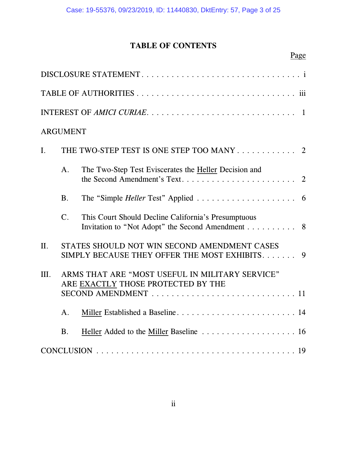# **TABLE OF CONTENTS**

|                | <b>ARGUMENT</b> |                                                                                                         |
|----------------|-----------------|---------------------------------------------------------------------------------------------------------|
| $\mathbf{I}$ . |                 |                                                                                                         |
|                | A <sub>1</sub>  | The Two-Step Test Eviscerates the Heller Decision and                                                   |
|                | <b>B.</b>       |                                                                                                         |
|                | $C_{\cdot}$     | This Court Should Decline California's Presumptuous<br>Invitation to "Not Adopt" the Second Amendment 8 |
| II.            |                 | STATES SHOULD NOT WIN SECOND AMENDMENT CASES<br>SIMPLY BECAUSE THEY OFFER THE MOST EXHIBITS. 9          |
| III.           |                 | ARMS THAT ARE "MOST USEFUL IN MILITARY SERVICE"<br>ARE EXACTLY THOSE PROTECTED BY THE                   |
|                | $A_{\cdot}$     |                                                                                                         |
|                | <b>B.</b>       |                                                                                                         |
|                |                 |                                                                                                         |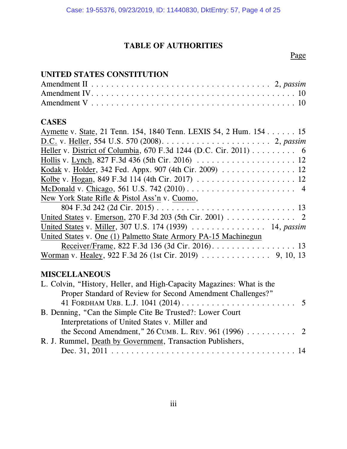# **TABLE OF AUTHORITIES**

### Page

## **UNITED STATES CONSTITUTION**

# **CASES**

| Aymette v. State, 21 Tenn. 154, 1840 Tenn. LEXIS 54, 2 Hum. 154 15 |
|--------------------------------------------------------------------|
|                                                                    |
| Heller v. District of Columbia, 670 F.3d 1244 (D.C. Cir. 2011) 6   |
|                                                                    |
| Kodak v. Holder, 342 Fed. Appx. 907 (4th Cir. 2009) 12             |
|                                                                    |
|                                                                    |
| New York State Rifle & Pistol Ass'n v. Cuomo,                      |
|                                                                    |
| United States v. Emerson, 270 F.3d 203 (5th Cir. 2001) 2           |
| United States v. Miller, 307 U.S. 174 (1939) 14, passim            |
| United States v. One (1) Palmetto State Armory PA-15 Machinegun    |
| Receiver/Frame, 822 F.3d 136 (3d Cir. 2016). 13                    |
| Worman v. Healey, 922 F.3d 26 (1st Cir. 2019) 9, 10, 13            |

# **MISCELLANEOUS**

| L. Colvin, "History, Heller, and High-Capacity Magazines: What is the         |  |
|-------------------------------------------------------------------------------|--|
| Proper Standard of Review for Second Amendment Challenges?"                   |  |
|                                                                               |  |
| B. Denning, "Can the Simple Cite Be Trusted?: Lower Court                     |  |
| Interpretations of United States v. Miller and                                |  |
| the Second Amendment," $26$ CUMB. L. REV. 961 (1996) $\ldots \ldots \ldots$ 2 |  |
| R. J. Rummel, Death by Government, Transaction Publishers,                    |  |
|                                                                               |  |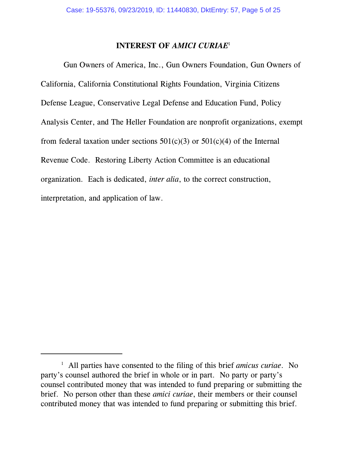### **INTEREST OF** *AMICI CURIAE* 1

Gun Owners of America, Inc., Gun Owners Foundation, Gun Owners of California, California Constitutional Rights Foundation, Virginia Citizens Defense League, Conservative Legal Defense and Education Fund, Policy Analysis Center, and The Heller Foundation are nonprofit organizations, exempt from federal taxation under sections  $501(c)(3)$  or  $501(c)(4)$  of the Internal Revenue Code. Restoring Liberty Action Committee is an educational organization. Each is dedicated, *inter alia*, to the correct construction, interpretation, and application of law.

<sup>1</sup> All parties have consented to the filing of this brief *amicus curiae*. No party's counsel authored the brief in whole or in part. No party or party's counsel contributed money that was intended to fund preparing or submitting the brief. No person other than these *amici curiae*, their members or their counsel contributed money that was intended to fund preparing or submitting this brief.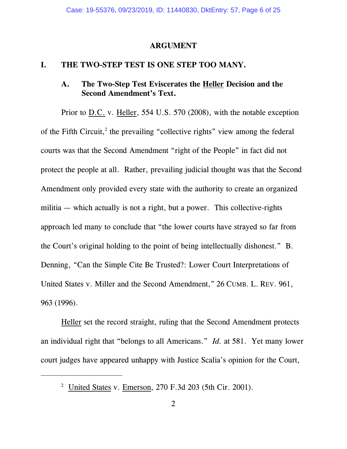#### **ARGUMENT**

#### **I. THE TWO-STEP TEST IS ONE STEP TOO MANY.**

### **A. The Two-Step Test Eviscerates the Heller Decision and the Second Amendment's Text.**

Prior to D.C. v. Heller, 554 U.S. 570 (2008), with the notable exception of the Fifth Circuit,<sup>2</sup> the prevailing "collective rights" view among the federal courts was that the Second Amendment "right of the People" in fact did not protect the people at all. Rather, prevailing judicial thought was that the Second Amendment only provided every state with the authority to create an organized militia — which actually is not a right, but a power. This collective-rights approach led many to conclude that "the lower courts have strayed so far from the Court's original holding to the point of being intellectually dishonest." B. Denning, "Can the Simple Cite Be Trusted?: Lower Court Interpretations of United States v. Miller and the Second Amendment," 26 CUMB. L. REV. 961, 963 (1996).

Heller set the record straight, ruling that the Second Amendment protects an individual right that "belongs to all Americans." *Id.* at 581. Yet many lower court judges have appeared unhappy with Justice Scalia's opinion for the Court,

<sup>&</sup>lt;sup>2</sup> United States v. Emerson,  $270$  F.3d  $203$  (5th Cir. 2001).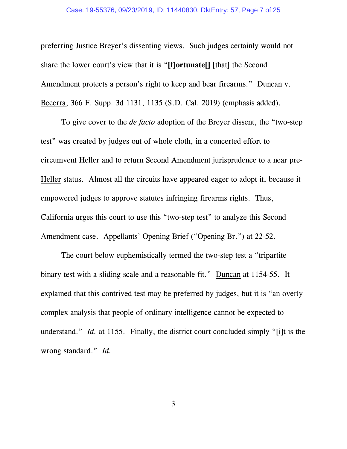#### Case: 19-55376, 09/23/2019, ID: 11440830, DktEntry: 57, Page 7 of 25

preferring Justice Breyer's dissenting views. Such judges certainly would not share the lower court's view that it is "**[f]ortunate[]** [that] the Second Amendment protects a person's right to keep and bear firearms." Duncan v. Becerra, 366 F. Supp. 3d 1131, 1135 (S.D. Cal. 2019) (emphasis added).

To give cover to the *de facto* adoption of the Breyer dissent, the "two-step test" was created by judges out of whole cloth, in a concerted effort to circumvent Heller and to return Second Amendment jurisprudence to a near pre-Heller status. Almost all the circuits have appeared eager to adopt it, because it empowered judges to approve statutes infringing firearms rights. Thus, California urges this court to use this "two-step test" to analyze this Second Amendment case. Appellants' Opening Brief ("Opening Br.") at 22-52.

The court below euphemistically termed the two-step test a "tripartite binary test with a sliding scale and a reasonable fit." Duncan at 1154-55. It explained that this contrived test may be preferred by judges, but it is "an overly complex analysis that people of ordinary intelligence cannot be expected to understand." *Id.* at 1155. Finally, the district court concluded simply "[i]t is the wrong standard." *Id.*

3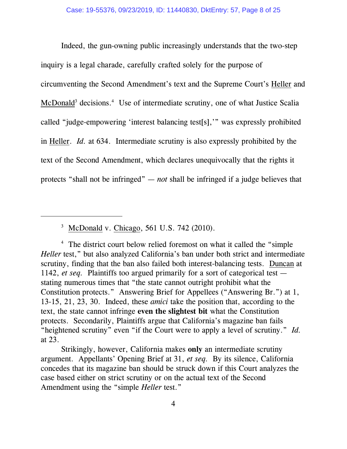Indeed, the gun-owning public increasingly understands that the two-step inquiry is a legal charade, carefully crafted solely for the purpose of circumventing the Second Amendment's text and the Supreme Court's Heller and McDonald<sup>3</sup> decisions.<sup>4</sup> Use of intermediate scrutiny, one of what Justice Scalia called "judge-empowering 'interest balancing test[s],'" was expressly prohibited in Heller. *Id.* at 634. Intermediate scrutiny is also expressly prohibited by the text of the Second Amendment, which declares unequivocally that the rights it protects "shall not be infringed" — *not* shall be infringed if a judge believes that

<sup>3</sup> McDonald v. Chicago, 561 U.S. 742 (2010).

<sup>4</sup> The district court below relied foremost on what it called the "simple" *Heller* test," but also analyzed California's ban under both strict and intermediate scrutiny, finding that the ban also failed both interest-balancing tests. Duncan at 1142, *et seq.* Plaintiffs too argued primarily for a sort of categorical test stating numerous times that "the state cannot outright prohibit what the Constitution protects." Answering Brief for Appellees ("Answering Br.") at 1, 13-15, 21, 23, 30. Indeed, these *amici* take the position that, according to the text, the state cannot infringe **even the slightest bit** what the Constitution protects. Secondarily, Plaintiffs argue that California's magazine ban fails "heightened scrutiny" even "if the Court were to apply a level of scrutiny." *Id.* at 23.

Strikingly, however, California makes **only** an intermediate scrutiny argument. Appellants' Opening Brief at 31, *et seq.* By its silence, California concedes that its magazine ban should be struck down if this Court analyzes the case based either on strict scrutiny or on the actual text of the Second Amendment using the "simple *Heller* test."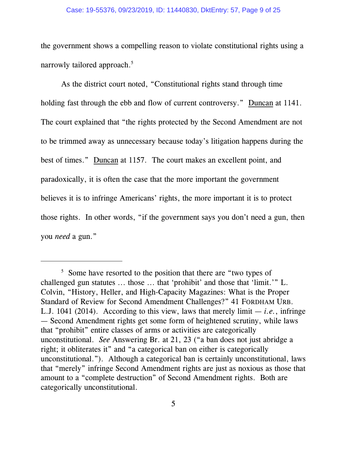#### Case: 19-55376, 09/23/2019, ID: 11440830, DktEntry: 57, Page 9 of 25

the government shows a compelling reason to violate constitutional rights using a narrowly tailored approach.<sup>5</sup>

As the district court noted, "Constitutional rights stand through time holding fast through the ebb and flow of current controversy." Duncan at 1141. The court explained that "the rights protected by the Second Amendment are not to be trimmed away as unnecessary because today's litigation happens during the best of times." Duncan at 1157. The court makes an excellent point, and paradoxically, it is often the case that the more important the government believes it is to infringe Americans' rights, the more important it is to protect those rights. In other words, "if the government says you don't need a gun, then you *need* a gun."

<sup>&</sup>lt;sup>5</sup> Some have resorted to the position that there are "two types of challenged gun statutes ... those ... that 'prohibit' and those that 'limit.'" L. Colvin, "History, Heller, and High-Capacity Magazines: What is the Proper Standard of Review for Second Amendment Challenges?" 41 FORDHAM URB. L.J. 1041 (2014). According to this view, laws that merely limit  $- i.e.,$  infringe — Second Amendment rights get some form of heightened scrutiny, while laws that "prohibit" entire classes of arms or activities are categorically unconstitutional. *See* Answering Br. at 21, 23 ("a ban does not just abridge a right; it obliterates it" and "a categorical ban on either is categorically unconstitutional."). Although a categorical ban is certainly unconstitutional, laws that "merely" infringe Second Amendment rights are just as noxious as those that amount to a "complete destruction" of Second Amendment rights. Both are categorically unconstitutional.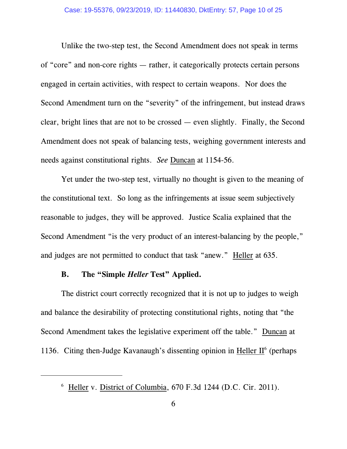Unlike the two-step test, the Second Amendment does not speak in terms of "core" and non-core rights — rather, it categorically protects certain persons engaged in certain activities, with respect to certain weapons. Nor does the Second Amendment turn on the "severity" of the infringement, but instead draws clear, bright lines that are not to be crossed — even slightly. Finally, the Second Amendment does not speak of balancing tests, weighing government interests and needs against constitutional rights. *See* Duncan at 1154-56.

Yet under the two-step test, virtually no thought is given to the meaning of the constitutional text. So long as the infringements at issue seem subjectively reasonable to judges, they will be approved. Justice Scalia explained that the Second Amendment "is the very product of an interest-balancing by the people," and judges are not permitted to conduct that task "anew." Heller at 635.

### **B. The "Simple** *Heller* **Test" Applied.**

The district court correctly recognized that it is not up to judges to weigh and balance the desirability of protecting constitutional rights, noting that "the Second Amendment takes the legislative experiment off the table." Duncan at 1136. Citing then-Judge Kavanaugh's dissenting opinion in **Heller II<sup>6</sup>** (perhaps

<sup>6</sup> Heller v. District of Columbia, 670 F.3d 1244 (D.C. Cir. 2011).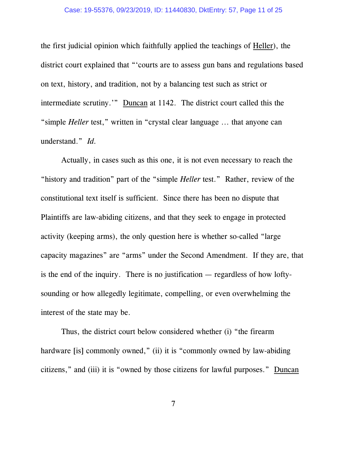the first judicial opinion which faithfully applied the teachings of Heller), the district court explained that "'courts are to assess gun bans and regulations based on text, history, and tradition, not by a balancing test such as strict or intermediate scrutiny.'" Duncan at 1142. The district court called this the "simple *Heller* test," written in "crystal clear language ... that anyone can understand." *Id.*

Actually, in cases such as this one, it is not even necessary to reach the "history and tradition" part of the "simple *Heller* test." Rather, review of the constitutional text itself is sufficient. Since there has been no dispute that Plaintiffs are law-abiding citizens, and that they seek to engage in protected activity (keeping arms), the only question here is whether so-called "large capacity magazines" are "arms" under the Second Amendment. If they are, that is the end of the inquiry. There is no justification — regardless of how loftysounding or how allegedly legitimate, compelling, or even overwhelming the interest of the state may be.

Thus, the district court below considered whether (i) "the firearm hardware [is] commonly owned," (ii) it is "commonly owned by law-abiding citizens," and (iii) it is "owned by those citizens for lawful purposes." Duncan

7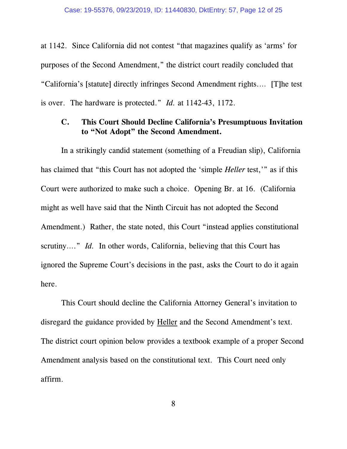at 1142. Since California did not contest "that magazines qualify as 'arms' for purposes of the Second Amendment," the district court readily concluded that "California's [statute] directly infringes Second Amendment rights.… [T]he test is over. The hardware is protected." *Id.* at 1142-43, 1172.

## **C. This Court Should Decline California's Presumptuous Invitation to "Not Adopt" the Second Amendment.**

In a strikingly candid statement (something of a Freudian slip), California has claimed that "this Court has not adopted the 'simple *Heller* test,'" as if this Court were authorized to make such a choice. Opening Br. at 16. (California might as well have said that the Ninth Circuit has not adopted the Second Amendment.) Rather, the state noted, this Court "instead applies constitutional scrutiny...." *Id.* In other words, California, believing that this Court has ignored the Supreme Court's decisions in the past, asks the Court to do it again here.

This Court should decline the California Attorney General's invitation to disregard the guidance provided by Heller and the Second Amendment's text. The district court opinion below provides a textbook example of a proper Second Amendment analysis based on the constitutional text. This Court need only affirm.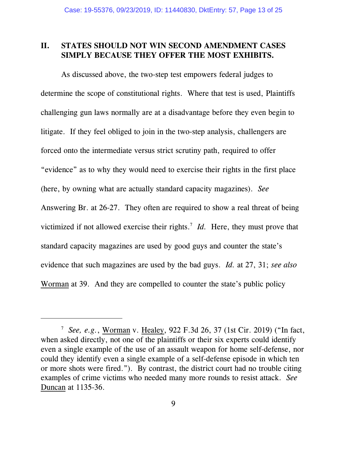### **II. STATES SHOULD NOT WIN SECOND AMENDMENT CASES SIMPLY BECAUSE THEY OFFER THE MOST EXHIBITS.**

As discussed above, the two-step test empowers federal judges to determine the scope of constitutional rights. Where that test is used, Plaintiffs challenging gun laws normally are at a disadvantage before they even begin to litigate. If they feel obliged to join in the two-step analysis, challengers are forced onto the intermediate versus strict scrutiny path, required to offer "evidence" as to why they would need to exercise their rights in the first place (here, by owning what are actually standard capacity magazines). *See* Answering Br. at 26-27. They often are required to show a real threat of being victimized if not allowed exercise their rights.<sup>7</sup> *Id*. Here, they must prove that standard capacity magazines are used by good guys and counter the state's evidence that such magazines are used by the bad guys. *Id.* at 27, 31; *see also* Worman at 39. And they are compelled to counter the state's public policy

<sup>7</sup> *See, e.g.*, Worman v. Healey, 922 F.3d 26, 37 (1st Cir. 2019) ("In fact, when asked directly, not one of the plaintiffs or their six experts could identify even a single example of the use of an assault weapon for home self-defense, nor could they identify even a single example of a self-defense episode in which ten or more shots were fired."). By contrast, the district court had no trouble citing examples of crime victims who needed many more rounds to resist attack. *See* Duncan at 1135-36.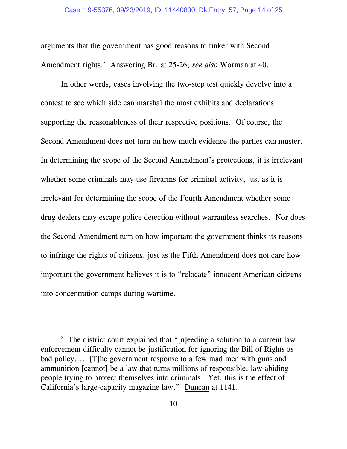arguments that the government has good reasons to tinker with Second Amendment rights.<sup>8</sup> Answering Br. at 25-26; *see also* Worman at 40.

In other words, cases involving the two-step test quickly devolve into a contest to see which side can marshal the most exhibits and declarations supporting the reasonableness of their respective positions. Of course, the Second Amendment does not turn on how much evidence the parties can muster. In determining the scope of the Second Amendment's protections, it is irrelevant whether some criminals may use firearms for criminal activity, just as it is irrelevant for determining the scope of the Fourth Amendment whether some drug dealers may escape police detection without warrantless searches. Nor does the Second Amendment turn on how important the government thinks its reasons to infringe the rights of citizens, just as the Fifth Amendment does not care how important the government believes it is to "relocate" innocent American citizens into concentration camps during wartime.

<sup>&</sup>lt;sup>8</sup> The district court explained that "[n]eeding a solution to a current law enforcement difficulty cannot be justification for ignoring the Bill of Rights as bad policy.... [T]he government response to a few mad men with guns and ammunition [cannot] be a law that turns millions of responsible, law-abiding people trying to protect themselves into criminals. Yet, this is the effect of California's large-capacity magazine law." Duncan at 1141.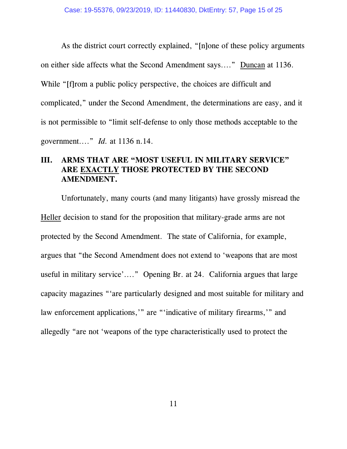As the district court correctly explained, "[n]one of these policy arguments on either side affects what the Second Amendment says...." Duncan at 1136. While "[f]rom a public policy perspective, the choices are difficult and complicated," under the Second Amendment, the determinations are easy, and it is not permissible to "limit self-defense to only those methods acceptable to the government...." *Id.* at 1136 n.14.

# **III. ARMS THAT ARE "MOST USEFUL IN MILITARY SERVICE" ARE EXACTLY THOSE PROTECTED BY THE SECOND AMENDMENT.**

Unfortunately, many courts (and many litigants) have grossly misread the Heller decision to stand for the proposition that military-grade arms are not protected by the Second Amendment. The state of California, for example, argues that "the Second Amendment does not extend to 'weapons that are most useful in military service'...." Opening Br. at 24. California argues that large capacity magazines "'are particularly designed and most suitable for military and law enforcement applications,'" are "'indicative of military firearms,'" and allegedly "are not 'weapons of the type characteristically used to protect the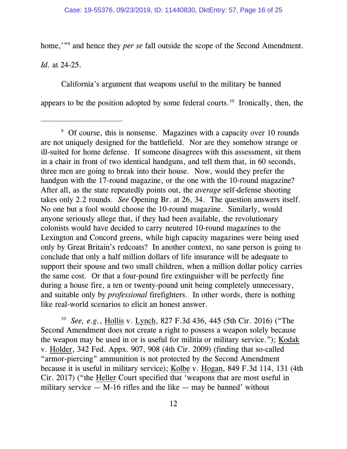home,<sup>""9</sup> and hence they *per se* fall outside the scope of the Second Amendment.

*Id.* at 24-25.

California's argument that weapons useful to the military be banned appears to be the position adopted by some federal courts.<sup>10</sup> Ironically, then, the

10 *See, e.g.*, Hollis v. Lynch, 827 F.3d 436, 445 (5th Cir. 2016) ("The Second Amendment does not create a right to possess a weapon solely because the weapon may be used in or is useful for militia or military service."); Kodak v. Holder, 342 Fed. Appx. 907, 908 (4th Cir. 2009) (finding that so-called "armor-piercing" ammunition is not protected by the Second Amendment because it is useful in military service); Kolbe v. Hogan, 849 F.3d 114, 131 (4th Cir. 2017) ("the Heller Court specified that 'weapons that are most useful in military service — M-16 rifles and the like — may be banned' without

<sup>&</sup>lt;sup>9</sup> Of course, this is nonsense. Magazines with a capacity over 10 rounds are not uniquely designed for the battlefield. Nor are they somehow strange or ill-suited for home defense. If someone disagrees with this assessment, sit them in a chair in front of two identical handguns, and tell them that, in 60 seconds, three men are going to break into their house. Now, would they prefer the handgun with the 17-round magazine, or the one with the 10-round magazine? After all, as the state repeatedly points out, the *average* self-defense shooting takes only 2.2 rounds. *See* Opening Br. at 26, 34. The question answers itself. No one but a fool would choose the 10-round magazine. Similarly, would anyone seriously allege that, if they had been available, the revolutionary colonists would have decided to carry neutered 10-round magazines to the Lexington and Concord greens, while high capacity magazines were being used only by Great Britain's redcoats? In another context, no sane person is going to conclude that only a half million dollars of life insurance will be adequate to support their spouse and two small children, when a million dollar policy carries the same cost. Or that a four-pound fire extinguisher will be perfectly fine during a house fire, a ten or twenty-pound unit being completely unnecessary, and suitable only by *professional* firefighters. In other words, there is nothing like real-world scenarios to elicit an honest answer.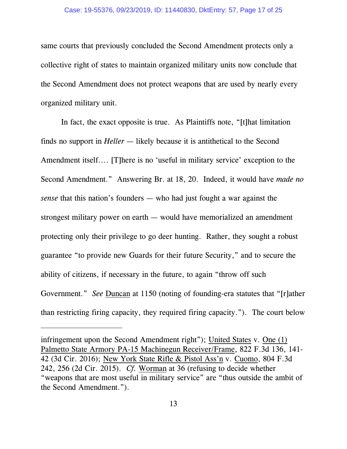#### Case: 19-55376, 09/23/2019, ID: 11440830, DktEntry: 57, Page 17 of 25

same courts that previously concluded the Second Amendment protects only a collective right of states to maintain organized military units now conclude that the Second Amendment does not protect weapons that are used by nearly every organized military unit.

In fact, the exact opposite is true. As Plaintiffs note, "[t]hat limitation finds no support in *Heller* — likely because it is antithetical to the Second Amendment itself.... [T]here is no 'useful in military service' exception to the Second Amendment." Answering Br. at 18, 20. Indeed, it would have *made no sense* that this nation's founders — who had just fought a war against the strongest military power on earth — would have memorialized an amendment protecting only their privilege to go deer hunting. Rather, they sought a robust guarantee "to provide new Guards for their future Security," and to secure the ability of citizens, if necessary in the future, to again "throw off such Government." *See* Duncan at 1150 (noting of founding-era statutes that "[r]ather than restricting firing capacity, they required firing capacity."). The court below

infringement upon the Second Amendment right"); United States v. One (1) Palmetto State Armory PA-15 Machinegun Receiver/Frame, 822 F.3d 136, 141- 42 (3d Cir. 2016); New York State Rifle & Pistol Ass'n v. Cuomo, 804 F.3d 242, 256 (2d Cir. 2015). *Cf.* Worman at 36 (refusing to decide whether "weapons that are most useful in military service" are "thus outside the ambit of the Second Amendment.").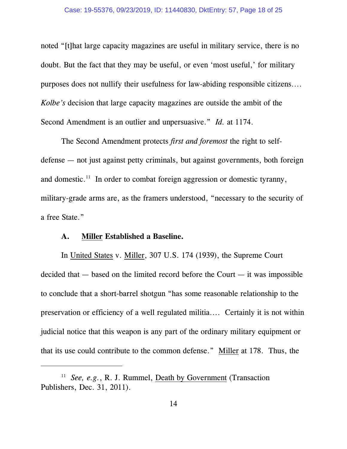noted "[t]hat large capacity magazines are useful in military service, there is no doubt. But the fact that they may be useful, or even 'most useful,' for military purposes does not nullify their usefulness for law-abiding responsible citizens.... *Kolbe's* decision that large capacity magazines are outside the ambit of the Second Amendment is an outlier and unpersuasive." *Id.* at 1174.

The Second Amendment protects *first and foremost* the right to selfdefense — not just against petty criminals, but against governments, both foreign and domestic.<sup>11</sup> In order to combat foreign aggression or domestic tyranny, military-grade arms are, as the framers understood, "necessary to the security of a free State."

#### **A. Miller Established a Baseline.**

In United States v. Miller, 307 U.S. 174 (1939), the Supreme Court decided that  $-$  based on the limited record before the Court  $-$  it was impossible to conclude that a short-barrel shotgun "has some reasonable relationship to the preservation or efficiency of a well regulated militia.... Certainly it is not within judicial notice that this weapon is any part of the ordinary military equipment or that its use could contribute to the common defense." Miller at 178. Thus, the

<sup>&</sup>lt;sup>11</sup> See, e.g., R. J. Rummel, Death by Government (Transaction Publishers, Dec. 31, 2011).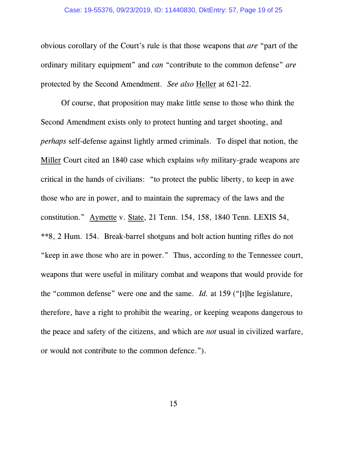#### Case: 19-55376, 09/23/2019, ID: 11440830, DktEntry: 57, Page 19 of 25

obvious corollary of the Court's rule is that those weapons that *are* "part of the ordinary military equipment" and *can* "contribute to the common defense" *are* protected by the Second Amendment. *See also* Heller at 621-22.

Of course, that proposition may make little sense to those who think the Second Amendment exists only to protect hunting and target shooting, and *perhaps* self-defense against lightly armed criminals. To dispel that notion, the Miller Court cited an 1840 case which explains *why* military-grade weapons are critical in the hands of civilians: "to protect the public liberty, to keep in awe those who are in power, and to maintain the supremacy of the laws and the constitution." Aymette v. State, 21 Tenn. 154, 158, 1840 Tenn. LEXIS 54, \*\*8, 2 Hum. 154. Break-barrel shotguns and bolt action hunting rifles do not "keep in awe those who are in power." Thus, according to the Tennessee court, weapons that were useful in military combat and weapons that would provide for the "common defense" were one and the same. *Id.* at 159 ("[t]he legislature, therefore, have a right to prohibit the wearing, or keeping weapons dangerous to the peace and safety of the citizens, and which are *not* usual in civilized warfare, or would not contribute to the common defence.").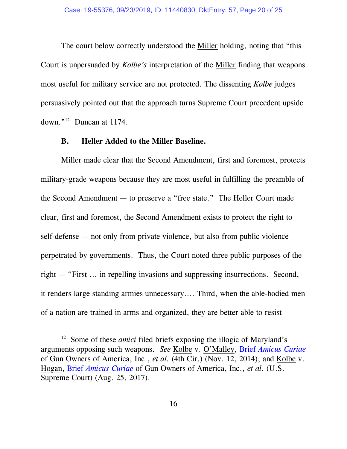The court below correctly understood the Miller holding, noting that "this Court is unpersuaded by *Kolbe's* interpretation of the Miller finding that weapons most useful for military service are not protected. The dissenting *Kolbe* judges persuasively pointed out that the approach turns Supreme Court precedent upside down."<sup>12</sup> Duncan at 1174.

#### **B. Heller Added to the Miller Baseline.**

Miller made clear that the Second Amendment, first and foremost, protects military-grade weapons because they are most useful in fulfilling the preamble of the Second Amendment — to preserve a "free state." The Heller Court made clear, first and foremost, the Second Amendment exists to protect the right to self-defense — not only from private violence, but also from public violence perpetrated by governments. Thus, the Court noted three public purposes of the right — "First ... in repelling invasions and suppressing insurrections. Second, it renders large standing armies unnecessary.... Third, when the able-bodied men of a nation are trained in arms and organized, they are better able to resist

<sup>&</sup>lt;sup>12</sup> Some of these *amici* filed briefs exposing the illogic of Maryland's arguments opposing such weapons. *See* Kolbe v. O'Malley, Brief *Amicus Curiae* of Gun Owners of America, Inc., *et al.* (4th Cir.) (Nov. 12, 2014); and Kolbe v. Hogan, Brief *Amicus Curiae* of Gun Owners of America, Inc., *et al*. (U.S. Supreme Court) (Aug. 25, 2017).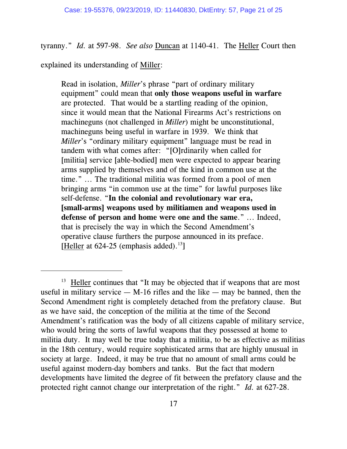tyranny." *Id.* at 597-98. *See also* Duncan at 1140-41. The Heller Court then

explained its understanding of Miller:

Read in isolation, *Miller*'s phrase "part of ordinary military equipment" could mean that **only those weapons useful in warfare** are protected. That would be a startling reading of the opinion, since it would mean that the National Firearms Act's restrictions on machineguns (not challenged in *Miller*) might be unconstitutional, machineguns being useful in warfare in 1939. We think that *Miller*'s "ordinary military equipment" language must be read in tandem with what comes after: "[O]rdinarily when called for [militia] service [able-bodied] men were expected to appear bearing arms supplied by themselves and of the kind in common use at the time." ... The traditional militia was formed from a pool of men bringing arms "in common use at the time" for lawful purposes like self-defense. "**In the colonial and revolutionary war era, [small-arms] weapons used by militiamen and weapons used in defense of person and home were one and the same**." ... Indeed, that is precisely the way in which the Second Amendment's operative clause furthers the purpose announced in its preface. [Heller at  $624-25$  (emphasis added).<sup>13</sup>]

<sup>&</sup>lt;sup>13</sup> Heller continues that "It may be objected that if weapons that are most useful in military service  $-$  M-16 rifles and the like  $-$  may be banned, then the Second Amendment right is completely detached from the prefatory clause. But as we have said, the conception of the militia at the time of the Second Amendment's ratification was the body of all citizens capable of military service, who would bring the sorts of lawful weapons that they possessed at home to militia duty. It may well be true today that a militia, to be as effective as militias in the 18th century, would require sophisticated arms that are highly unusual in society at large. Indeed, it may be true that no amount of small arms could be useful against modern-day bombers and tanks. But the fact that modern developments have limited the degree of fit between the prefatory clause and the protected right cannot change our interpretation of the right." *Id.* at 627-28.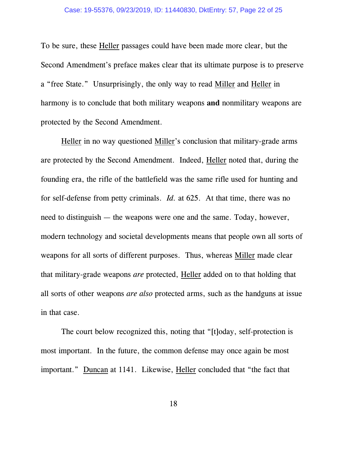To be sure, these Heller passages could have been made more clear, but the Second Amendment's preface makes clear that its ultimate purpose is to preserve a "free State." Unsurprisingly, the only way to read Miller and Heller in harmony is to conclude that both military weapons **and** nonmilitary weapons are protected by the Second Amendment.

Heller in no way questioned Miller's conclusion that military-grade arms are protected by the Second Amendment. Indeed, Heller noted that, during the founding era, the rifle of the battlefield was the same rifle used for hunting and for self-defense from petty criminals. *Id.* at 625. At that time, there was no need to distinguish — the weapons were one and the same. Today, however, modern technology and societal developments means that people own all sorts of weapons for all sorts of different purposes. Thus, whereas Miller made clear that military-grade weapons *are* protected, Heller added on to that holding that all sorts of other weapons *are also* protected arms, such as the handguns at issue in that case.

The court below recognized this, noting that "[t]oday, self-protection is most important. In the future, the common defense may once again be most important." Duncan at 1141. Likewise, Heller concluded that "the fact that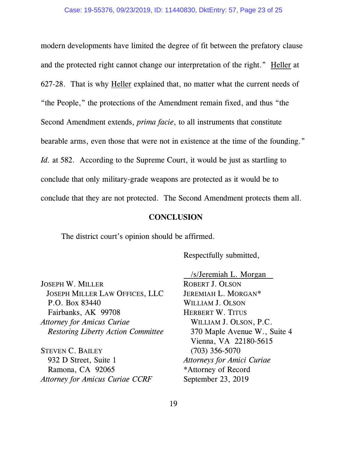modern developments have limited the degree of fit between the prefatory clause and the protected right cannot change our interpretation of the right." Heller at 627-28. That is why Heller explained that, no matter what the current needs of "the People," the protections of the Amendment remain fixed, and thus "the Second Amendment extends, *prima facie*, to all instruments that constitute bearable arms, even those that were not in existence at the time of the founding." *Id.* at 582. According to the Supreme Court, it would be just as startling to conclude that only military-grade weapons are protected as it would be to conclude that they are not protected. The Second Amendment protects them all.

#### **CONCLUSION**

The district court's opinion should be affirmed.

Respectfully submitted,

JOSEPH W. MILLER ROBERT J. OLSON JOSEPH MILLER LAW OFFICES, LLC JEREMIAH L. MORGAN\* P.O. Box 83440 WILLIAM J. OLSON Fairbanks, AK 99708 HERBERT W. TITUS *Attorney for Amicus Curiae* WILLIAM J. OLSON, P.C. *Restoring Liberty Action Committee* 370 Maple Avenue W., Suite 4

STEVEN C. BAILEY (703) 356-5070 932 D Street, Suite 1 *Attorneys for Amici Curiae* Ramona, CA 92065 \*Attorney of Record *Attorney for Amicus Curiae CCRF* September 23, 2019

/s/Jeremiah L. Morgan Vienna, VA 22180-5615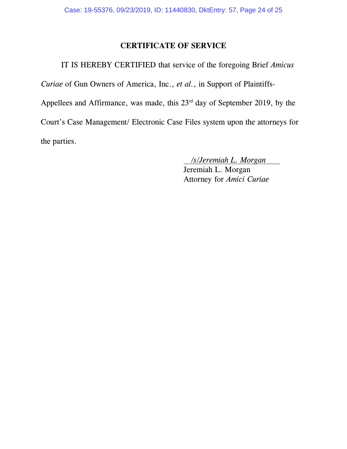## **CERTIFICATE OF SERVICE**

IT IS HEREBY CERTIFIED that service of the foregoing Brief *Amicus*

*Curiae* of Gun Owners of America, Inc., *et al.*, in Support of Plaintiffs-

Appellees and Affirmance, was made, this 23<sup>rd</sup> day of September 2019, by the

Court's Case Management/ Electronic Case Files system upon the attorneys for the parties.

*/s/Jeremiah L. Morgan*

Jeremiah L. Morgan Attorney for *Amici Curiae*